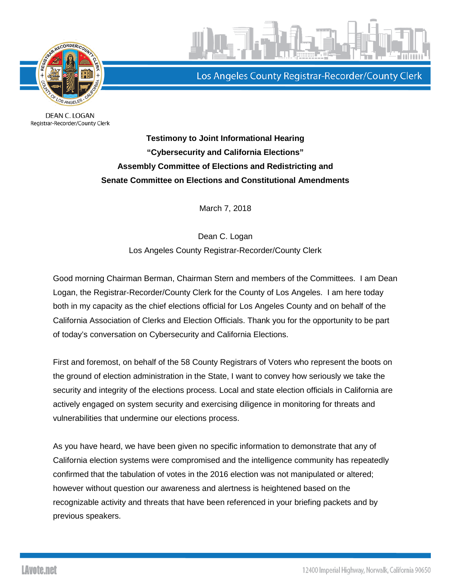

DEAN C. LOGAN Registrar-Recorder/County Clerk



Los Angeles County Registrar-Recorder/County Clerk

**Testimony to Joint Informational Hearing "Cybersecurity and California Elections" Assembly Committee of Elections and Redistricting and Senate Committee on Elections and Constitutional Amendments** 

March 7, 2018

Dean C. Logan Los Angeles County Registrar-Recorder/County Clerk

Good morning Chairman Berman, Chairman Stern and members of the Committees. I am Dean Logan, the Registrar-Recorder/County Clerk for the County of Los Angeles. I am here today both in my capacity as the chief elections official for Los Angeles County and on behalf of the California Association of Clerks and Election Officials. Thank you for the opportunity to be part of today's conversation on Cybersecurity and California Elections.

First and foremost, on behalf of the 58 County Registrars of Voters who represent the boots on the ground of election administration in the State, I want to convey how seriously we take the security and integrity of the elections process. Local and state election officials in California are actively engaged on system security and exercising diligence in monitoring for threats and vulnerabilities that undermine our elections process.

As you have heard, we have been given no specific information to demonstrate that any of California election systems were compromised and the intelligence community has repeatedly confirmed that the tabulation of votes in the 2016 election was not manipulated or altered; however without question our awareness and alertness is heightened based on the recognizable activity and threats that have been referenced in your briefing packets and by previous speakers.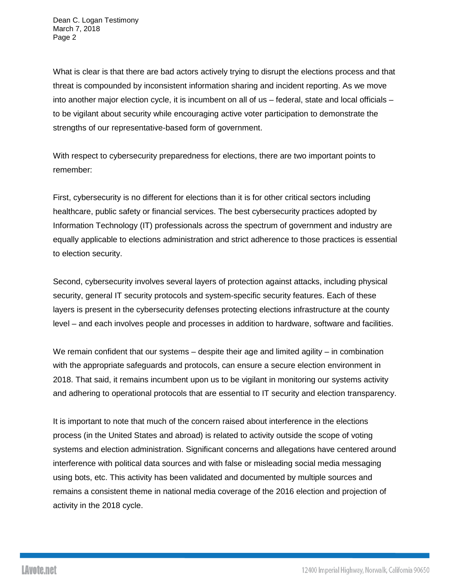What is clear is that there are bad actors actively trying to disrupt the elections process and that threat is compounded by inconsistent information sharing and incident reporting. As we move into another major election cycle, it is incumbent on all of us – federal, state and local officials – to be vigilant about security while encouraging active voter participation to demonstrate the strengths of our representative-based form of government.

With respect to cybersecurity preparedness for elections, there are two important points to remember:

First, cybersecurity is no different for elections than it is for other critical sectors including healthcare, public safety or financial services. The best cybersecurity practices adopted by Information Technology (IT) professionals across the spectrum of government and industry are equally applicable to elections administration and strict adherence to those practices is essential to election security.

Second, cybersecurity involves several layers of protection against attacks, including physical security, general IT security protocols and system-specific security features. Each of these layers is present in the cybersecurity defenses protecting elections infrastructure at the county level – and each involves people and processes in addition to hardware, software and facilities.

We remain confident that our systems – despite their age and limited agility – in combination with the appropriate safeguards and protocols, can ensure a secure election environment in 2018. That said, it remains incumbent upon us to be vigilant in monitoring our systems activity and adhering to operational protocols that are essential to IT security and election transparency.

It is important to note that much of the concern raised about interference in the elections process (in the United States and abroad) is related to activity outside the scope of voting systems and election administration. Significant concerns and allegations have centered around interference with political data sources and with false or misleading social media messaging using bots, etc. This activity has been validated and documented by multiple sources and remains a consistent theme in national media coverage of the 2016 election and projection of activity in the 2018 cycle.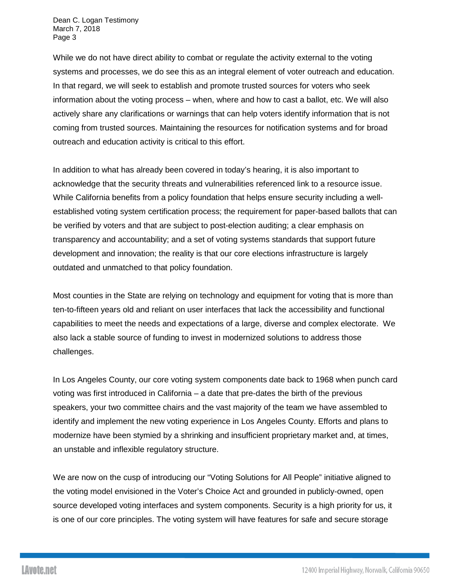Dean C. Logan Testimony March 7, 2018 Page 3

While we do not have direct ability to combat or regulate the activity external to the voting systems and processes, we do see this as an integral element of voter outreach and education. In that regard, we will seek to establish and promote trusted sources for voters who seek information about the voting process – when, where and how to cast a ballot, etc. We will also actively share any clarifications or warnings that can help voters identify information that is not coming from trusted sources. Maintaining the resources for notification systems and for broad outreach and education activity is critical to this effort.

In addition to what has already been covered in today's hearing, it is also important to acknowledge that the security threats and vulnerabilities referenced link to a resource issue. While California benefits from a policy foundation that helps ensure security including a wellestablished voting system certification process; the requirement for paper-based ballots that can be verified by voters and that are subject to post-election auditing; a clear emphasis on transparency and accountability; and a set of voting systems standards that support future development and innovation; the reality is that our core elections infrastructure is largely outdated and unmatched to that policy foundation.

Most counties in the State are relying on technology and equipment for voting that is more than ten-to-fifteen years old and reliant on user interfaces that lack the accessibility and functional capabilities to meet the needs and expectations of a large, diverse and complex electorate. We also lack a stable source of funding to invest in modernized solutions to address those challenges.

In Los Angeles County, our core voting system components date back to 1968 when punch card voting was first introduced in California – a date that pre-dates the birth of the previous speakers, your two committee chairs and the vast majority of the team we have assembled to identify and implement the new voting experience in Los Angeles County. Efforts and plans to modernize have been stymied by a shrinking and insufficient proprietary market and, at times, an unstable and inflexible regulatory structure.

We are now on the cusp of introducing our "Voting Solutions for All People" initiative aligned to the voting model envisioned in the Voter's Choice Act and grounded in publicly-owned, open source developed voting interfaces and system components. Security is a high priority for us, it is one of our core principles. The voting system will have features for safe and secure storage